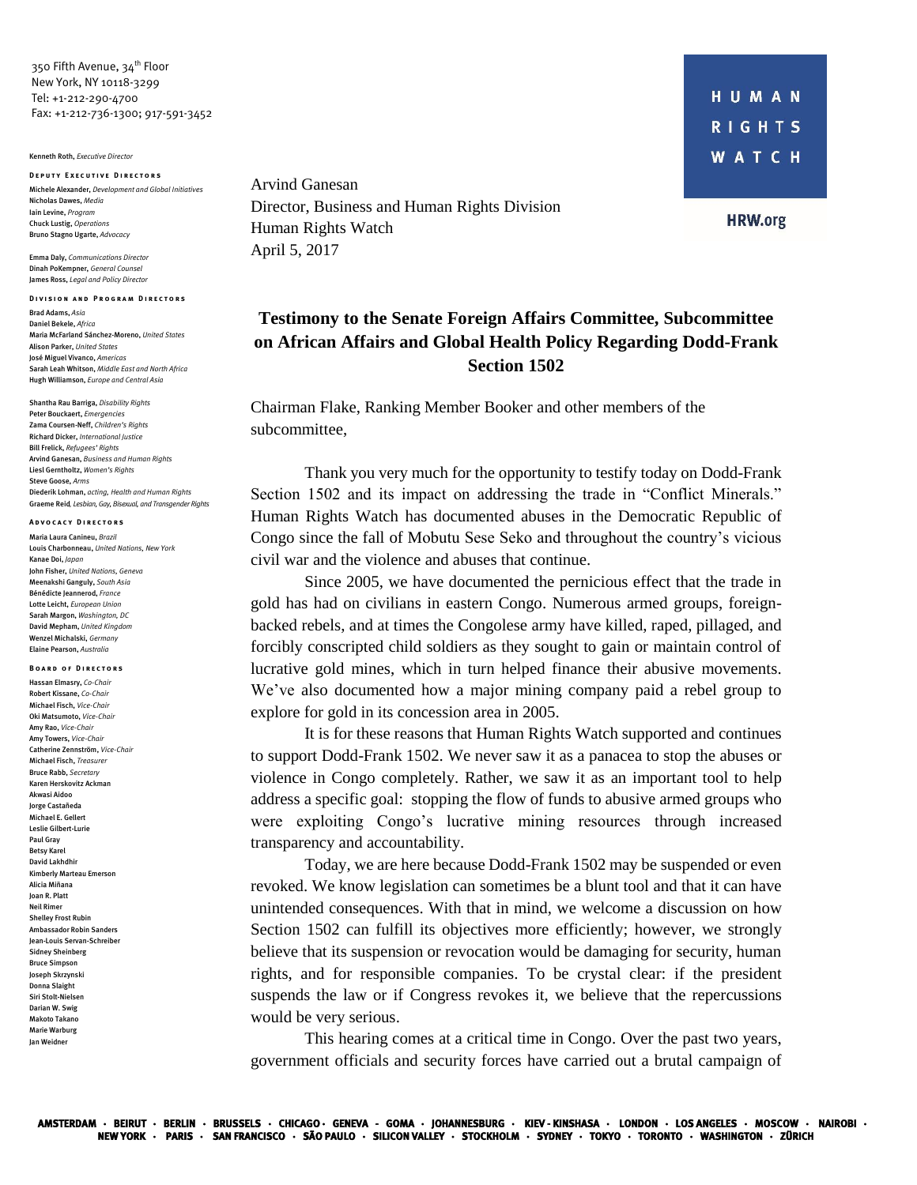350 Fifth Avenue, 34<sup>th</sup> Floor New York, NY 10118-3299 Tel: +1-212-290-4700 Fax: +1-212-736-1300; 917-591-3452

#### Kenneth Roth, *Executive Director*

**DEPUTY EXECUTIVE DIRECTORS** Michele Alexander, *Development and Global Initiatives*  Nicholas Dawes, *Media* Iain Levine, *Program* Chuck Lustig, *Operations* Bruno Stagno Ugarte, *Advocacy*

Emma Daly, *Communications Director* Dinah PoKempner, *General Counsel* James Ross, *Legal and Policy Director*

**DIVISION AND PROGRAM DIRECTORS** Brad Adams, *Asia* Daniel Bekele, *Africa* Maria McFarland Sánchez-Moreno, *United States* Alison Parker, *United States* José Miguel Vivanco, *Americas* Sarah Leah Whitson, *Middle East and North Africa* Hugh Williamson, *Europe and Central Asia*

Shantha Rau Barriga, *Disability Rights*  Peter Bouckaert, *Emergencies* Zama Coursen-Neff, *Children's Rights* Richard Dicker, *International Justice* Bill Frelick, *Refugees' Rights* Arvind Ganesan, *Business and Human Rights* Liesl Gerntholtz, *Women's Rights* Steve Goose, *Arms*  Diederik Lohman, *acting, Health and Human Rights* Graeme Reid, *Lesbian, Gay, Bisexual, and Transgender Rights*

**A d v o c a c y D i r e c t o r s**

Maria Laura Canineu, *Brazil* Louis Charbonneau, *United Nations, New York* Kanae Doi, *Japan* John Fisher, *United Nations, Geneva* Meenakshi Ganguly, *South Asia* Bénédicte Jeannerod, *France* Lotte Leicht, *European Union* Sarah Margon, *Washington, DC* David Mepham, *United Kingdom* Wenzel Michalski, *Germany*  Elaine Pearson, *Australia*

**BOARD OF DIRECTORS** 

Hassan Elmasry, *Co-Chair* Robert Kissane, *Co-Chair* Michael Fisch, *Vice-Chair* Oki Matsumoto, *Vice-Chair* Amy Rao, *Vice-Chair* Amy Towers, *Vice-Chair* Catherine Zennström, *Vice-Chair* Michael Fisch, *Treasurer* Bruce Rabb, *Secretary* Karen Herskovitz Ackman Akwasi Aidoo Jorge Castañeda Michael E. Gellert Leslie Gilbert-Lurie Paul Gray Betsy Karel David Lakhdhir Kimberly Marteau Emerson Alicia Miñana Joan R. Platt Neil Rimer Shelley Frost Rubin Ambassador Robin Sanders Jean-Louis Servan-Schreiber Sidney Sheinberg Bruce Simpson Joseph Skrzynski Donna Slaight Siri Stolt-Nielsen Darian W. Swig Makoto Takano Marie Warburg Jan Weidner

Arvind Ganesan Director, Business and Human Rights Division Human Rights Watch April 5, 2017

# **Testimony to the Senate Foreign Affairs Committee, Subcommittee on African Affairs and Global Health Policy Regarding Dodd-Frank Section 1502**

Chairman Flake, Ranking Member Booker and other members of the subcommittee,

Thank you very much for the opportunity to testify today on Dodd-Frank Section 1502 and its impact on addressing the trade in "Conflict Minerals." Human Rights Watch has documented abuses in the Democratic Republic of Congo since the fall of Mobutu Sese Seko and throughout the country's vicious civil war and the violence and abuses that continue.

Since 2005, we have documented the pernicious effect that the trade in gold has had on civilians in eastern Congo. Numerous armed groups, foreignbacked rebels, and at times the Congolese army have killed, raped, pillaged, and forcibly conscripted child soldiers as they sought to gain or maintain control of lucrative gold mines, which in turn helped finance their abusive movements. We've also documented how a major mining company paid a rebel group to explore for gold in its concession area in 2005.

It is for these reasons that Human Rights Watch supported and continues to support Dodd-Frank 1502. We never saw it as a panacea to stop the abuses or violence in Congo completely. Rather, we saw it as an important tool to help address a specific goal: stopping the flow of funds to abusive armed groups who were exploiting Congo's lucrative mining resources through increased transparency and accountability.

Today, we are here because Dodd-Frank 1502 may be suspended or even revoked. We know legislation can sometimes be a blunt tool and that it can have unintended consequences. With that in mind, we welcome a discussion on how Section 1502 can fulfill its objectives more efficiently; however, we strongly believe that its suspension or revocation would be damaging for security, human rights, and for responsible companies. To be crystal clear: if the president suspends the law or if Congress revokes it, we believe that the repercussions would be very serious.

This hearing comes at a critical time in Congo. Over the past two years, government officials and security forces have carried out a brutal campaign of

HUMAN **RIGHTS WATCH** 

**HRW.org**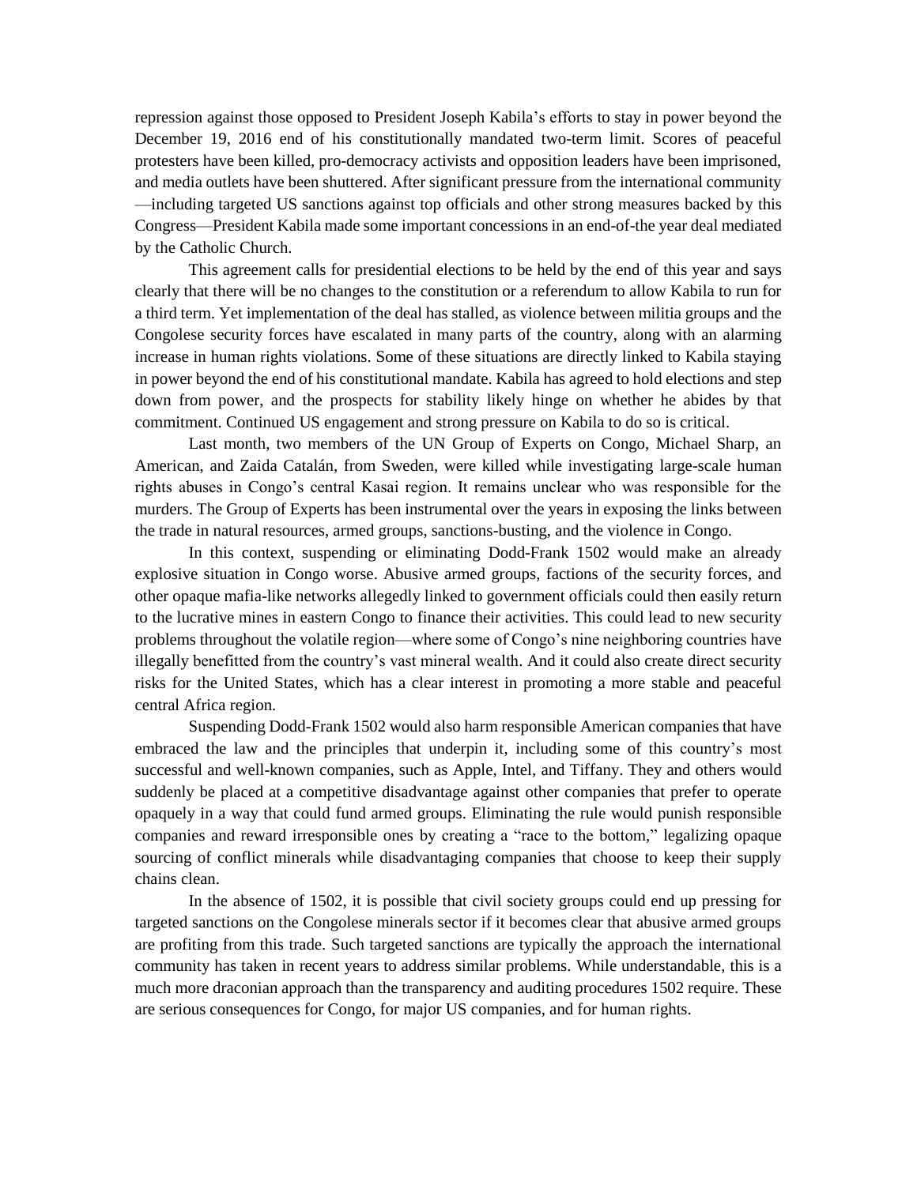repression against those opposed to President Joseph Kabila's efforts to stay in power beyond the December 19, 2016 end of his constitutionally mandated two-term limit. Scores of peaceful protesters have been killed, pro-democracy activists and opposition leaders have been imprisoned, and media outlets have been shuttered. After significant pressure from the international community —including targeted US sanctions against top officials and other strong measures backed by this Congress—President Kabila made some important concessions in an end-of-the year deal mediated by the Catholic Church.

This agreement calls for presidential elections to be held by the end of this year and says clearly that there will be no changes to the constitution or a referendum to allow Kabila to run for a third term. Yet implementation of the deal has stalled, as violence between militia groups and the Congolese security forces have escalated in many parts of the country, along with an alarming increase in human rights violations. Some of these situations are directly linked to Kabila staying in power beyond the end of his constitutional mandate. Kabila has agreed to hold elections and step down from power, and the prospects for stability likely hinge on whether he abides by that commitment. Continued US engagement and strong pressure on Kabila to do so is critical.

Last month, two members of the UN Group of Experts on Congo, Michael Sharp, an American, and Zaida Catalán, from Sweden, were killed while investigating large-scale human rights abuses in Congo's central Kasai region. It remains unclear who was responsible for the murders. The Group of Experts has been instrumental over the years in exposing the links between the trade in natural resources, armed groups, sanctions-busting, and the violence in Congo.

In this context, suspending or eliminating Dodd-Frank 1502 would make an already explosive situation in Congo worse. Abusive armed groups, factions of the security forces, and other opaque mafia-like networks allegedly linked to government officials could then easily return to the lucrative mines in eastern Congo to finance their activities. This could lead to new security problems throughout the volatile region—where some of Congo's nine neighboring countries have illegally benefitted from the country's vast mineral wealth. And it could also create direct security risks for the United States, which has a clear interest in promoting a more stable and peaceful central Africa region.

Suspending Dodd-Frank 1502 would also harm responsible American companies that have embraced the law and the principles that underpin it, including some of this country's most successful and well-known companies, such as Apple, Intel, and Tiffany. They and others would suddenly be placed at a competitive disadvantage against other companies that prefer to operate opaquely in a way that could fund armed groups. Eliminating the rule would punish responsible companies and reward irresponsible ones by creating a "race to the bottom," legalizing opaque sourcing of conflict minerals while disadvantaging companies that choose to keep their supply chains clean.

In the absence of 1502, it is possible that civil society groups could end up pressing for targeted sanctions on the Congolese minerals sector if it becomes clear that abusive armed groups are profiting from this trade. Such targeted sanctions are typically the approach the international community has taken in recent years to address similar problems. While understandable, this is a much more draconian approach than the transparency and auditing procedures 1502 require. These are serious consequences for Congo, for major US companies, and for human rights.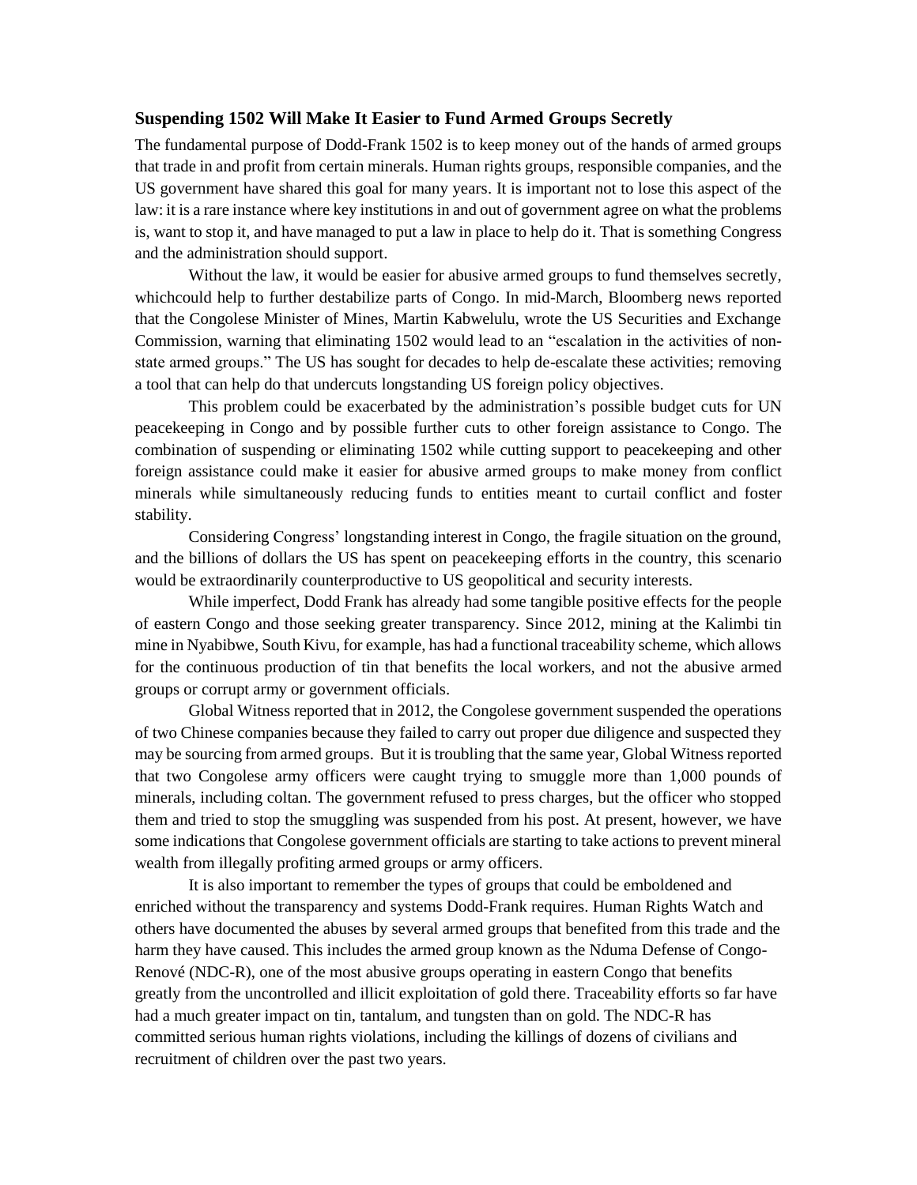## **Suspending 1502 Will Make It Easier to Fund Armed Groups Secretly**

The fundamental purpose of Dodd-Frank 1502 is to keep money out of the hands of armed groups that trade in and profit from certain minerals. Human rights groups, responsible companies, and the US government have shared this goal for many years. It is important not to lose this aspect of the law: it is a rare instance where key institutions in and out of government agree on what the problems is, want to stop it, and have managed to put a law in place to help do it. That is something Congress and the administration should support.

Without the law, it would be easier for abusive armed groups to fund themselves secretly, whichcould help to further destabilize parts of Congo. In mid-March, Bloomberg news reported that the Congolese Minister of Mines, Martin Kabwelulu, wrote the US Securities and Exchange Commission, warning that eliminating 1502 would lead to an "escalation in the activities of nonstate armed groups." The US has sought for decades to help de-escalate these activities; removing a tool that can help do that undercuts longstanding US foreign policy objectives.

This problem could be exacerbated by the administration's possible budget cuts for UN peacekeeping in Congo and by possible further cuts to other foreign assistance to Congo. The combination of suspending or eliminating 1502 while cutting support to peacekeeping and other foreign assistance could make it easier for abusive armed groups to make money from conflict minerals while simultaneously reducing funds to entities meant to curtail conflict and foster stability.

Considering Congress' longstanding interest in Congo, the fragile situation on the ground, and the billions of dollars the US has spent on peacekeeping efforts in the country, this scenario would be extraordinarily counterproductive to US geopolitical and security interests.

While imperfect, Dodd Frank has already had some tangible positive effects for the people of eastern Congo and those seeking greater transparency. Since 2012, mining at the Kalimbi tin mine in Nyabibwe, South Kivu, for example, has had a functional traceability scheme, which allows for the continuous production of tin that benefits the local workers, and not the abusive armed groups or corrupt army or government officials.

Global Witness reported that in 2012, the Congolese government suspended the operations of two Chinese companies because they failed to carry out proper due diligence and suspected they may be sourcing from armed groups. But it is troubling that the same year, Global Witness reported that two Congolese army officers were caught trying to smuggle more than 1,000 pounds of minerals, including coltan. The government refused to press charges, but the officer who stopped them and tried to stop the smuggling was suspended from his post. At present, however, we have some indications that Congolese government officials are starting to take actions to prevent mineral wealth from illegally profiting armed groups or army officers.

It is also important to remember the types of groups that could be emboldened and enriched without the transparency and systems Dodd-Frank requires. Human Rights Watch and others have documented the abuses by several armed groups that benefited from this trade and the harm they have caused. This includes the armed group known as the Nduma Defense of Congo-Renové (NDC-R), one of the most abusive groups operating in eastern Congo that benefits greatly from the uncontrolled and illicit exploitation of gold there. Traceability efforts so far have had a much greater impact on tin, tantalum, and tungsten than on gold. The NDC-R has committed serious human rights violations, including the killings of dozens of civilians and recruitment of children over the past two years.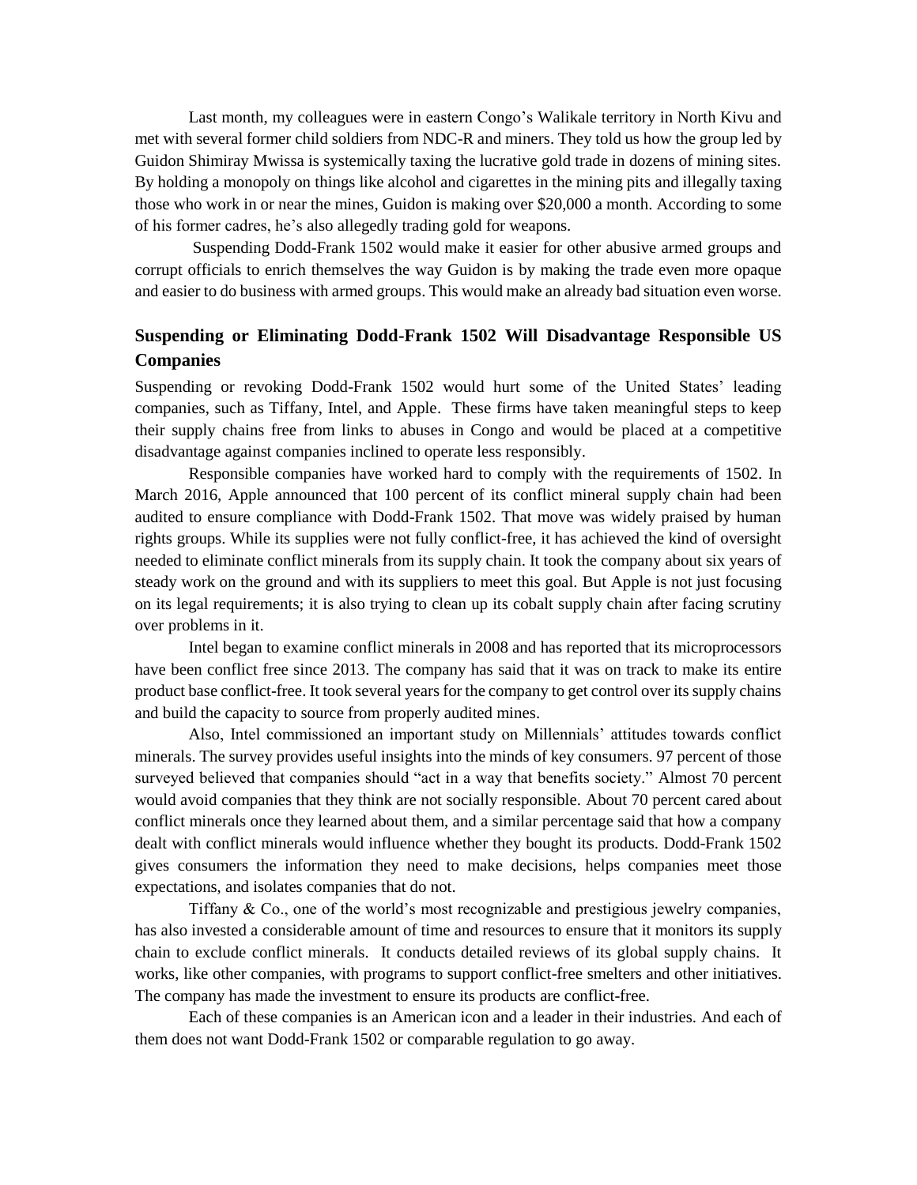Last month, my colleagues were in eastern Congo's Walikale territory in North Kivu and met with several former child soldiers from NDC-R and miners. They told us how the group led by Guidon Shimiray Mwissa is systemically taxing the lucrative gold trade in dozens of mining sites. By holding a monopoly on things like alcohol and cigarettes in the mining pits and illegally taxing those who work in or near the mines, Guidon is making over \$20,000 a month. According to some of his former cadres, he's also allegedly trading gold for weapons.

Suspending Dodd-Frank 1502 would make it easier for other abusive armed groups and corrupt officials to enrich themselves the way Guidon is by making the trade even more opaque and easier to do business with armed groups. This would make an already bad situation even worse.

## **Suspending or Eliminating Dodd-Frank 1502 Will Disadvantage Responsible US Companies**

Suspending or revoking Dodd-Frank 1502 would hurt some of the United States' leading companies, such as Tiffany, Intel, and Apple. These firms have taken meaningful steps to keep their supply chains free from links to abuses in Congo and would be placed at a competitive disadvantage against companies inclined to operate less responsibly.

Responsible companies have worked hard to comply with the requirements of 1502. In March 2016, Apple announced that 100 percent of its conflict mineral supply chain had been audited to ensure compliance with Dodd-Frank 1502. That move was widely praised by human rights groups. While its supplies were not fully conflict-free, it has achieved the kind of oversight needed to eliminate conflict minerals from its supply chain. It took the company about six years of steady work on the ground and with its suppliers to meet this goal. But Apple is not just focusing on its legal requirements; it is also trying to clean up its cobalt supply chain after facing scrutiny over problems in it.

Intel began to examine conflict minerals in 2008 and has reported that its microprocessors have been conflict free since 2013. The company has said that it was on track to make its entire product base conflict-free. It took several years for the company to get control over its supply chains and build the capacity to source from properly audited mines.

Also, Intel commissioned an important study on Millennials' attitudes towards conflict minerals. The survey provides useful insights into the minds of key consumers. 97 percent of those surveyed believed that companies should "act in a way that benefits society." Almost 70 percent would avoid companies that they think are not socially responsible. About 70 percent cared about conflict minerals once they learned about them, and a similar percentage said that how a company dealt with conflict minerals would influence whether they bought its products. Dodd-Frank 1502 gives consumers the information they need to make decisions, helps companies meet those expectations, and isolates companies that do not.

Tiffany & Co., one of the world's most recognizable and prestigious jewelry companies, has also invested a considerable amount of time and resources to ensure that it monitors its supply chain to exclude conflict minerals. It conducts detailed reviews of its global supply chains. It works, like other companies, with programs to support conflict-free smelters and other initiatives. The company has made the investment to ensure its products are conflict-free.

Each of these companies is an American icon and a leader in their industries. And each of them does not want Dodd-Frank 1502 or comparable regulation to go away.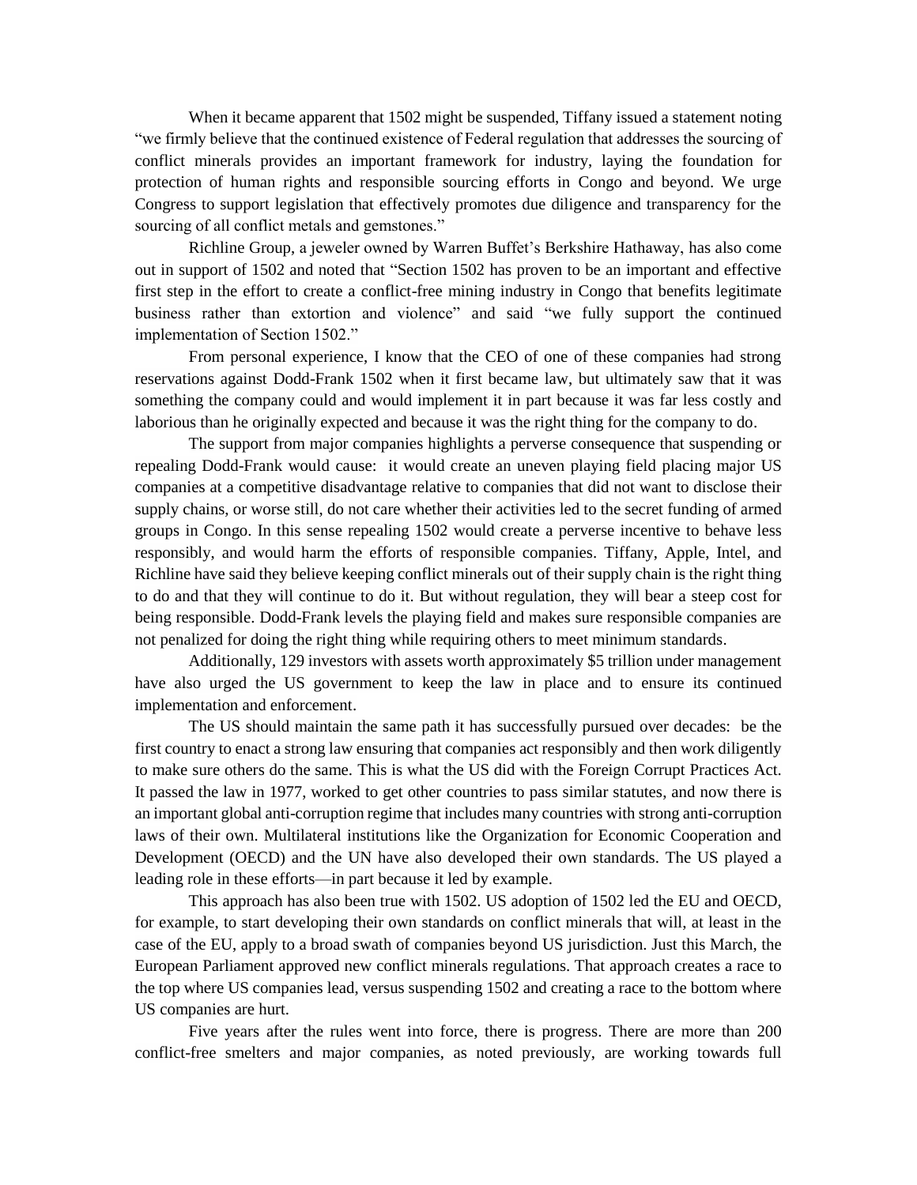When it became apparent that 1502 might be suspended, Tiffany issued a statement noting "we firmly believe that the continued existence of Federal regulation that addresses the sourcing of conflict minerals provides an important framework for industry, laying the foundation for protection of human rights and responsible sourcing efforts in Congo and beyond. We urge Congress to support legislation that effectively promotes due diligence and transparency for the sourcing of all conflict metals and gemstones."

Richline Group, a jeweler owned by Warren Buffet's Berkshire Hathaway, has also come out in support of 1502 and noted that "Section 1502 has proven to be an important and effective first step in the effort to create a conflict-free mining industry in Congo that benefits legitimate business rather than extortion and violence" and said "we fully support the continued implementation of Section 1502."

From personal experience, I know that the CEO of one of these companies had strong reservations against Dodd-Frank 1502 when it first became law, but ultimately saw that it was something the company could and would implement it in part because it was far less costly and laborious than he originally expected and because it was the right thing for the company to do.

The support from major companies highlights a perverse consequence that suspending or repealing Dodd-Frank would cause: it would create an uneven playing field placing major US companies at a competitive disadvantage relative to companies that did not want to disclose their supply chains, or worse still, do not care whether their activities led to the secret funding of armed groups in Congo. In this sense repealing 1502 would create a perverse incentive to behave less responsibly, and would harm the efforts of responsible companies. Tiffany, Apple, Intel, and Richline have said they believe keeping conflict minerals out of their supply chain is the right thing to do and that they will continue to do it. But without regulation, they will bear a steep cost for being responsible. Dodd-Frank levels the playing field and makes sure responsible companies are not penalized for doing the right thing while requiring others to meet minimum standards.

Additionally, 129 investors with assets worth approximately \$5 trillion under management have also urged the US government to keep the law in place and to ensure its continued implementation and enforcement.

The US should maintain the same path it has successfully pursued over decades: be the first country to enact a strong law ensuring that companies act responsibly and then work diligently to make sure others do the same. This is what the US did with the Foreign Corrupt Practices Act. It passed the law in 1977, worked to get other countries to pass similar statutes, and now there is an important global anti-corruption regime that includes many countries with strong anti-corruption laws of their own. Multilateral institutions like the Organization for Economic Cooperation and Development (OECD) and the UN have also developed their own standards. The US played a leading role in these efforts—in part because it led by example.

This approach has also been true with 1502. US adoption of 1502 led the EU and OECD, for example, to start developing their own standards on conflict minerals that will, at least in the case of the EU, apply to a broad swath of companies beyond US jurisdiction. Just this March, the European Parliament approved new conflict minerals regulations. That approach creates a race to the top where US companies lead, versus suspending 1502 and creating a race to the bottom where US companies are hurt.

Five years after the rules went into force, there is progress. There are more than 200 conflict-free smelters and major companies, as noted previously, are working towards full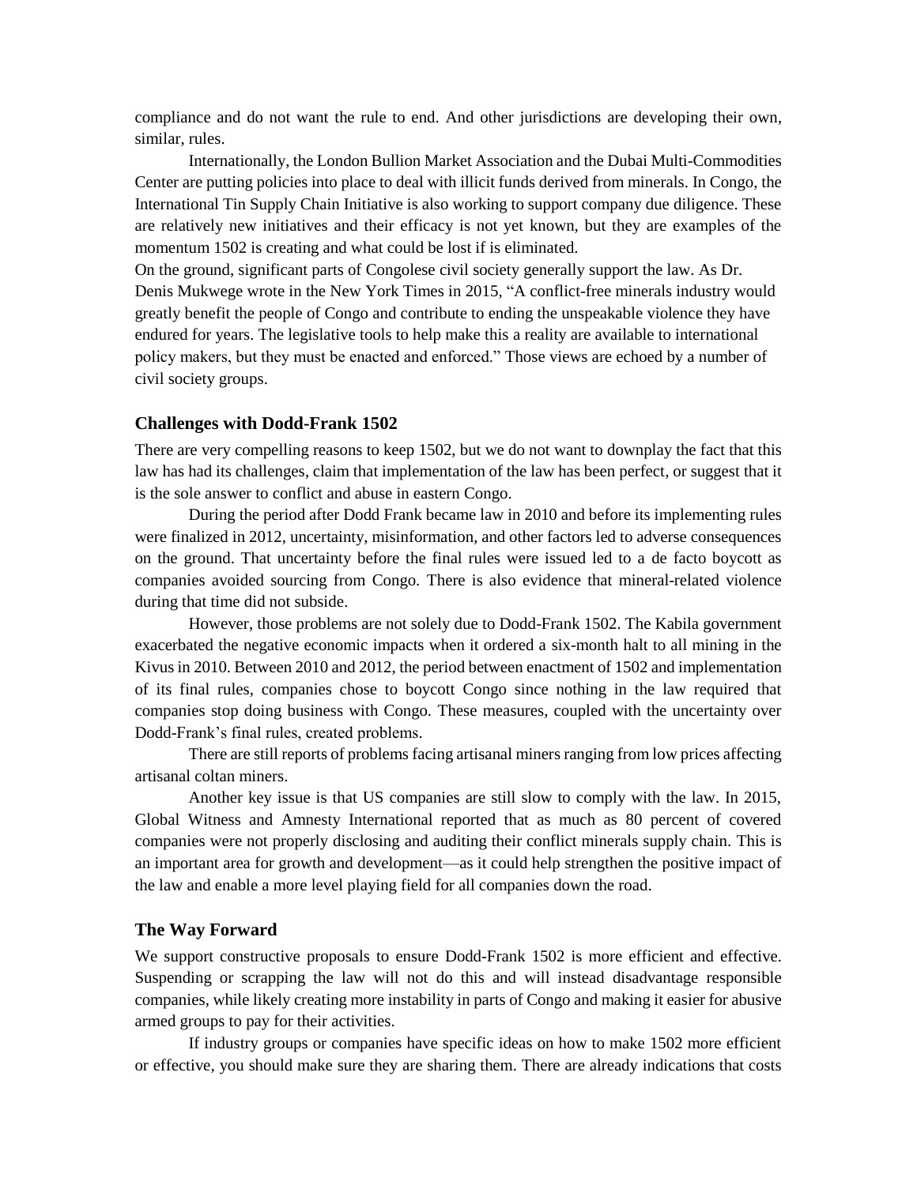compliance and do not want the rule to end. And other jurisdictions are developing their own, similar, rules.

Internationally, the London Bullion Market Association and the Dubai Multi-Commodities Center are putting policies into place to deal with illicit funds derived from minerals. In Congo, the International Tin Supply Chain Initiative is also working to support company due diligence. These are relatively new initiatives and their efficacy is not yet known, but they are examples of the momentum 1502 is creating and what could be lost if is eliminated.

On the ground, significant parts of Congolese civil society generally support the law. As Dr. Denis Mukwege wrote in the New York Times in 2015, "A conflict-free minerals industry would greatly benefit the people of Congo and contribute to ending the unspeakable violence they have endured for years. The legislative tools to help make this a reality are available to international policy makers, but they must be enacted and enforced." Those views are echoed by a number of civil society groups.

### **Challenges with Dodd-Frank 1502**

There are very compelling reasons to keep 1502, but we do not want to downplay the fact that this law has had its challenges, claim that implementation of the law has been perfect, or suggest that it is the sole answer to conflict and abuse in eastern Congo.

During the period after Dodd Frank became law in 2010 and before its implementing rules were finalized in 2012, uncertainty, misinformation, and other factors led to adverse consequences on the ground. That uncertainty before the final rules were issued led to a de facto boycott as companies avoided sourcing from Congo. There is also evidence that mineral-related violence during that time did not subside.

However, those problems are not solely due to Dodd-Frank 1502. The Kabila government exacerbated the negative economic impacts when it ordered a six-month halt to all mining in the Kivus in 2010. Between 2010 and 2012, the period between enactment of 1502 and implementation of its final rules, companies chose to boycott Congo since nothing in the law required that companies stop doing business with Congo. These measures, coupled with the uncertainty over Dodd-Frank's final rules, created problems.

There are still reports of problems facing artisanal miners ranging from low prices affecting artisanal coltan miners.

Another key issue is that US companies are still slow to comply with the law. In 2015, Global Witness and Amnesty International reported that as much as 80 percent of covered companies were not properly disclosing and auditing their conflict minerals supply chain. This is an important area for growth and development—as it could help strengthen the positive impact of the law and enable a more level playing field for all companies down the road.

## **The Way Forward**

We support constructive proposals to ensure Dodd-Frank 1502 is more efficient and effective. Suspending or scrapping the law will not do this and will instead disadvantage responsible companies, while likely creating more instability in parts of Congo and making it easier for abusive armed groups to pay for their activities.

If industry groups or companies have specific ideas on how to make 1502 more efficient or effective, you should make sure they are sharing them. There are already indications that costs